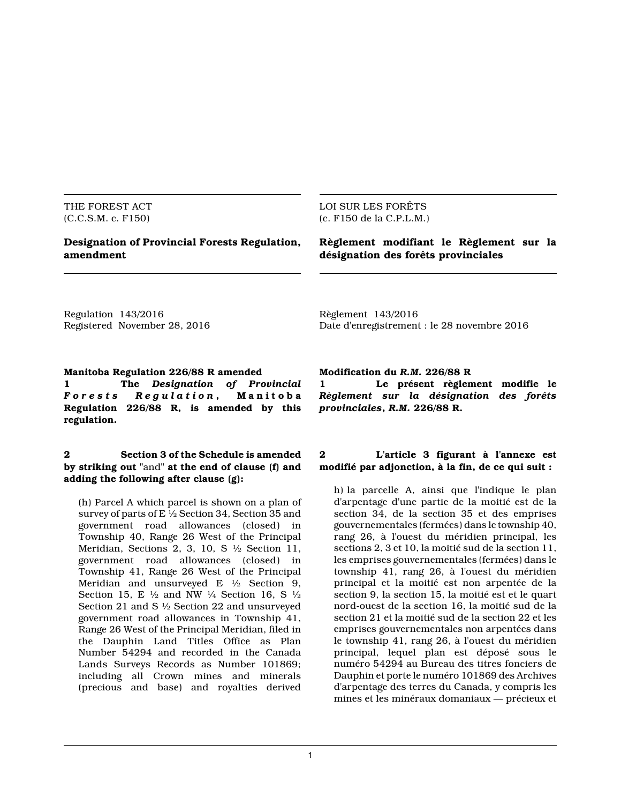THE FOREST ACT (C.C.S.M. c. F150)

# **Designation of Provincial Forests Regulation, amendment**

#### LOI SUR LES FORÊTS (c. F150 de la C.P.L.M.)

# **Règlement modifiant le Règlement sur la désignation des forêts provinciales**

Regulation 143/2016 Registered November 28, 2016 Règlement 143/2016 Date d'enregistrement : le 28 novembre 2016

# **Manitoba Regulation 226/88 R amended**

**1 The** *Designation of Provincial Forests* Regulation, **Regulation 226/88 R, is amended by this regulation.**

## **2 Section 3 of the Schedule is amended by striking out "**and**" at the end of clause (f) and adding the following after clause (g):**

(h) Parcel A which parcel is shown on a plan of survey of parts of E  $\frac{1}{2}$  Section 34, Section 35 and government road allowances (closed) in Township 40, Range 26 West of the Principal Meridian, Sections 2, 3, 10, S ½ Section 11, government road allowances (closed) in Township 41, Range 26 West of the Principal Meridian and unsurveyed E  $\frac{1}{2}$  Section 9, Section 15, E  $\frac{1}{2}$  and NW  $\frac{1}{4}$  Section 16, S  $\frac{1}{2}$ Section 21 and S ½ Section 22 and unsurveyed government road allowances in Township 41, Range 26 West of the Principal Meridian, filed in the Dauphin Land Titles Office as Plan Number 54294 and recorded in the Canada Lands Surveys Records as Number 101869; including all Crown mines and minerals (precious and base) and royalties derived

#### **Modification du** *R.M.* **226/88 R**

**1 Le présent règlement modifie le** *Règlement sur la désignation des forêts provinciales***,** *R.M.* **226/88 R.**

# **2 L'article 3 figurant à l'annexe est modifié par adjonction, à la fin, de ce qui suit :**

h) la parcelle A, ainsi que l'indique le plan d'arpentage d'une partie de la moitié est de la section 34, de la section 35 et des emprises gouvernementales (fermées) dans le township 40, rang 26, à l'ouest du méridien principal, les sections 2, 3 et 10, la moitié sud de la section 11, les emprises gouvernementales (fermées) dans le township 41, rang 26, à l'ouest du méridien principal et la moitié est non arpentée de la section 9, la section 15, la moitié est et le quart nord-ouest de la section 16, la moitié sud de la section 21 et la moitié sud de la section 22 et les emprises gouvernementales non arpentées dans le township 41, rang 26, à l'ouest du méridien principal, lequel plan est déposé sous le numéro 54294 au Bureau des titres fonciers de Dauphin et porte le numéro 101869 des Archives d'arpentage des terres du Canada, y compris les mines et les minéraux domaniaux — précieux et